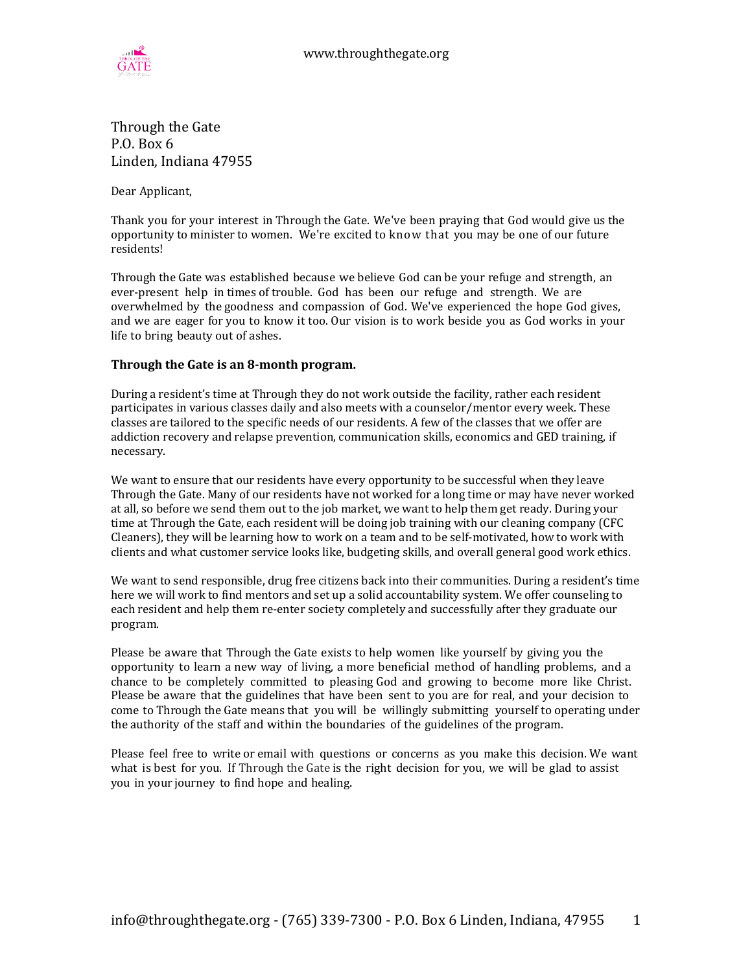

Through the Gate P.O. Box  $6$ Linden, Indiana 47955

Dear Applicant,

Thank you for your interest in Through the Gate. We've been praying that God would give us the opportunity to minister to women. We're excited to know that you may be one of our future residents!

Through the Gate was established because we believe God can be your refuge and strength, an ever-present help in times of trouble. God has been our refuge and strength. We are overwhelmed by the goodness and compassion of God. We've experienced the hope God gives, and we are eager for you to know it too. Our vision is to work beside you as God works in your life to bring beauty out of ashes.

#### **Through the Gate is an 8-month program.**

During a resident's time at Through they do not work outside the facility, rather each resident participates in various classes daily and also meets with a counselor/mentor every week. These classes are tailored to the specific needs of our residents. A few of the classes that we offer are addiction recovery and relapse prevention, communication skills, economics and GED training, if necessary. 

We want to ensure that our residents have every opportunity to be successful when they leave Through the Gate. Many of our residents have not worked for a long time or may have never worked at all, so before we send them out to the job market, we want to help them get ready. During your time at Through the Gate, each resident will be doing job training with our cleaning company (CFC Cleaners), they will be learning how to work on a team and to be self-motivated, how to work with clients and what customer service looks like, budgeting skills, and overall general good work ethics.

We want to send responsible, drug free citizens back into their communities. During a resident's time here we will work to find mentors and set up a solid accountability system. We offer counseling to each resident and help them re-enter society completely and successfully after they graduate our program.

Please be aware that Through the Gate exists to help women like yourself by giving you the opportunity to learn a new way of living, a more beneficial method of handling problems, and a chance to be completely committed to pleasing God and growing to become more like Christ. Please be aware that the guidelines that have been sent to you are for real, and your decision to come to Through the Gate means that you will be willingly submitting yourself to operating under the authority of the staff and within the boundaries of the guidelines of the program.

Please feel free to write or email with questions or concerns as you make this decision. We want what is best for you. If Through the Gate is the right decision for you, we will be glad to assist you in your journey to find hope and healing.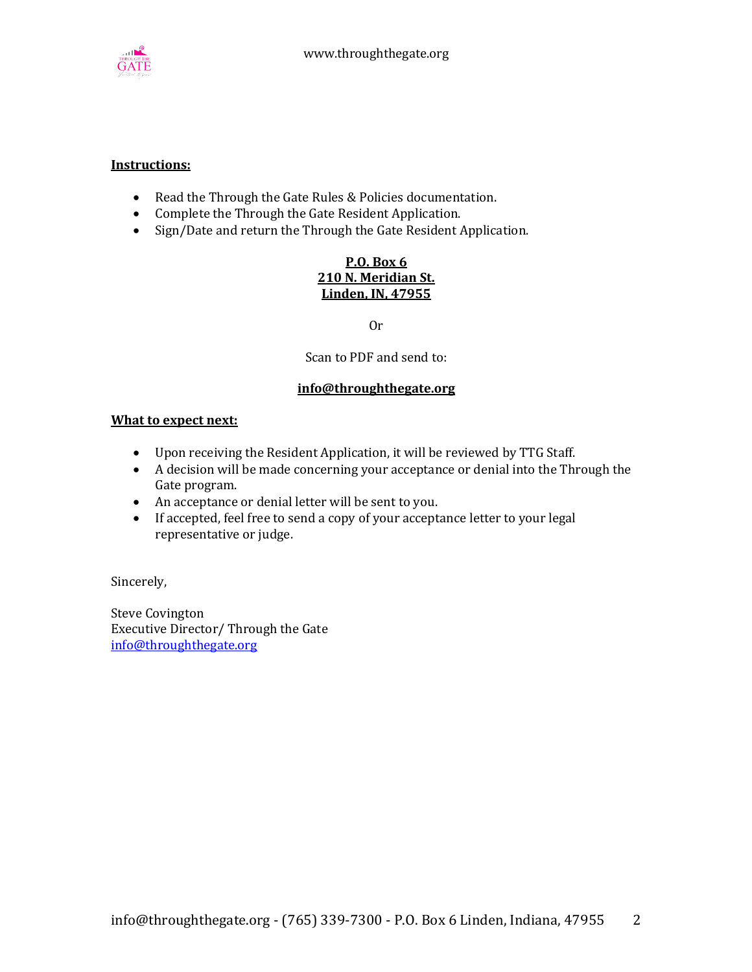

#### **Instructions:**

- Read the Through the Gate Rules & Policies documentation.
- Complete the Through the Gate Resident Application.
- Sign/Date and return the Through the Gate Resident Application.

#### **P.O. Box 6 210 N. Meridian St. Linden, IN, 47955**

Or

Scan to PDF and send to:

#### **info@throughthegate.org**

#### **What to expect next:**

- Upon receiving the Resident Application, it will be reviewed by TTG Staff.
- A decision will be made concerning your acceptance or denial into the Through the Gate program.
- An acceptance or denial letter will be sent to you.
- If accepted, feel free to send a copy of your acceptance letter to your legal representative or judge.

Sincerely,

Steve Covington Executive Director/ Through the Gate info@throughthegate.org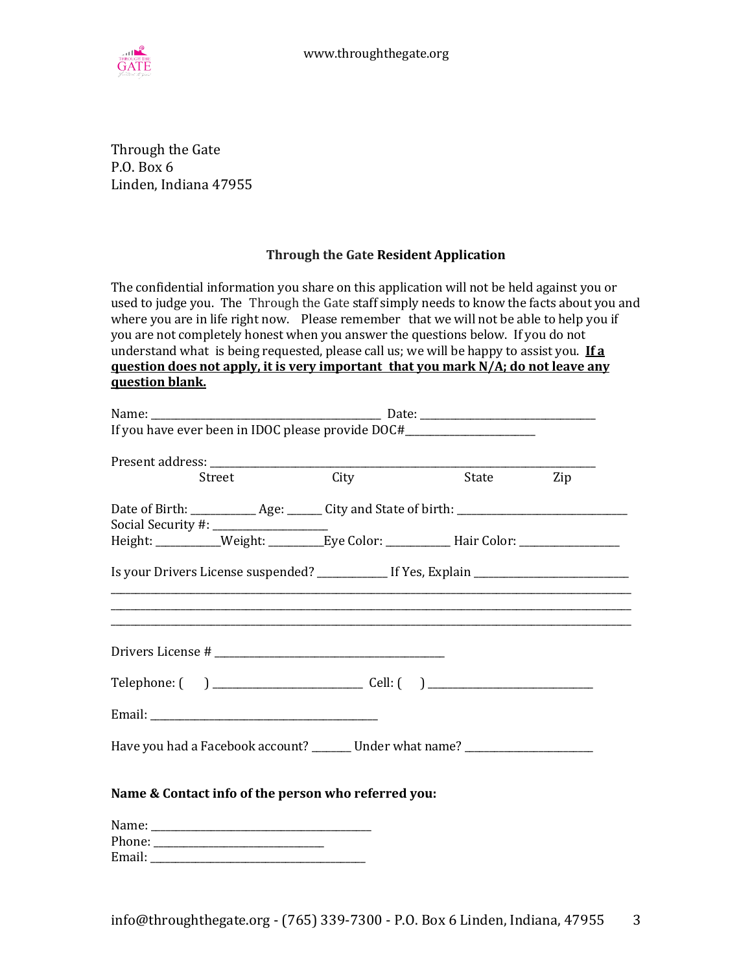

Through the Gate P.O. Box 6 Linden, Indiana 47955

#### **Through the Gate Resident Application**

The confidential information you share on this application will not be held against you or used to judge you. The Through the Gate staff simply needs to know the facts about you and where you are in life right now. Please remember that we will not be able to help you if you are not completely honest when you answer the questions below. If you do not understand what is being requested, please call us; we will be happy to assist you. **If a guestion** does not apply, it is very important that you mark  $N/A$ ; do not leave any **question blank.**

| If you have ever been in IDOC please provide DOC#_______________________________                                                              |      |       |     |  |
|-----------------------------------------------------------------------------------------------------------------------------------------------|------|-------|-----|--|
| Street                                                                                                                                        | City | State | Zip |  |
| Date of Birth: ______________ Age: _______ City and State of birth: ________________________________<br>Social Security #: __________________ |      |       |     |  |
| Height: __________Weight: __________Eye Color: _____________Hair Color: ___________________________                                           |      |       |     |  |
| Is your Drivers License suspended? ______________ If Yes, Explain _______________                                                             |      |       |     |  |
|                                                                                                                                               |      |       |     |  |
|                                                                                                                                               |      |       |     |  |
|                                                                                                                                               |      |       |     |  |
|                                                                                                                                               |      |       |     |  |
| Have you had a Facebook account? _______ Under what name? ______________________                                                              |      |       |     |  |
| Name & Contact info of the person who referred you:                                                                                           |      |       |     |  |
|                                                                                                                                               |      |       |     |  |
|                                                                                                                                               |      |       |     |  |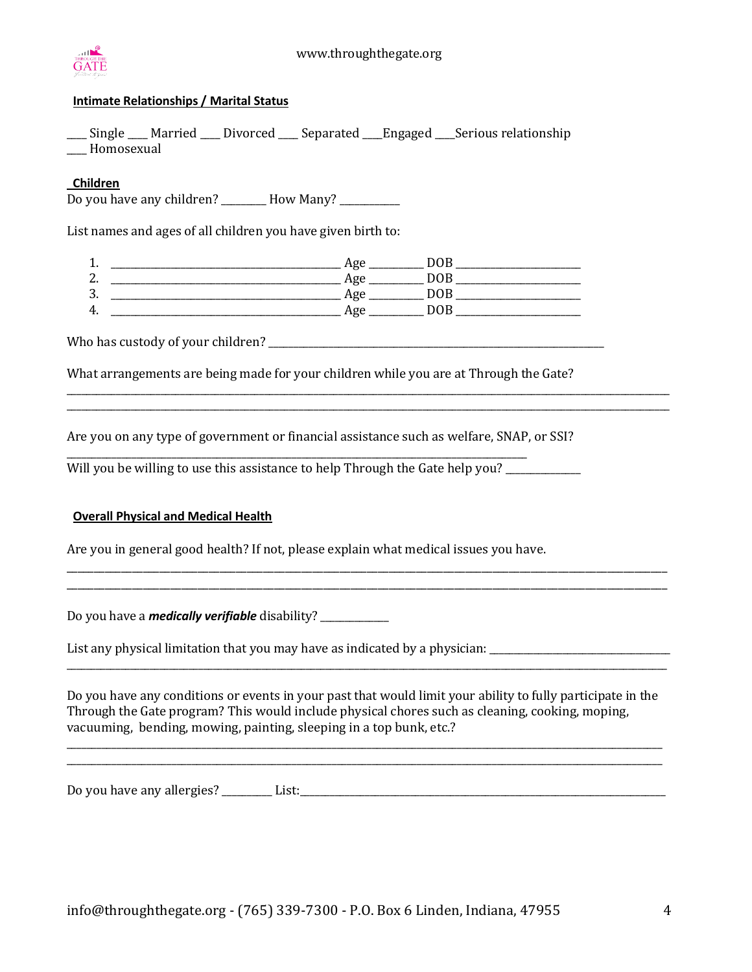

#### **Intimate Relationships / Marital Status**

\_\_\_\_ Single \_\_\_\_ Married \_\_\_\_ Divorced \_\_\_\_ Separated \_\_\_\_Engaged \_\_\_\_Serious relationship \_\_\_ Homosexual

#### **Children**

Do you have any children? \_\_\_\_\_\_\_\_ How Many? \_\_\_\_\_\_\_\_\_\_\_

List names and ages of all children you have given birth to:

1. \_\_\_\_\_\_\_\_\_\_\_\_\_\_\_\_\_\_\_\_\_\_\_\_\_\_\_\_\_\_\_\_\_\_\_\_\_\_\_\_\_\_\_\_\_\_ Age \_\_\_\_\_\_\_\_\_\_\_ DOB \_\_\_\_\_\_\_\_\_\_\_\_\_\_\_\_\_\_\_\_\_\_\_\_\_ 2. \_\_\_\_\_\_\_\_\_\_\_\_\_\_\_\_\_\_\_\_\_\_\_\_\_\_\_\_\_\_\_\_\_\_\_\_\_\_\_\_\_\_\_\_\_\_ Age \_\_\_\_\_\_\_\_\_\_\_ DOB \_\_\_\_\_\_\_\_\_\_\_\_\_\_\_\_\_\_\_\_\_\_\_\_\_ 3. \_\_\_\_\_\_\_\_\_\_\_\_\_\_\_\_\_\_\_\_\_\_\_\_\_\_\_\_\_\_\_\_\_\_\_\_\_\_\_\_\_\_\_\_\_\_ Age \_\_\_\_\_\_\_\_\_\_\_ DOB \_\_\_\_\_\_\_\_\_\_\_\_\_\_\_\_\_\_\_\_\_\_\_\_\_ 4. \_\_\_\_\_\_\_\_\_\_\_\_\_\_\_\_\_\_\_\_\_\_\_\_\_\_\_\_\_\_\_\_\_\_\_\_\_\_\_\_\_\_\_\_\_\_ Age \_\_\_\_\_\_\_\_\_\_\_ DOB \_\_\_\_\_\_\_\_\_\_\_\_\_\_\_\_\_\_\_\_\_\_\_\_\_

Who has custody of your children? \_\_\_\_\_\_\_\_\_\_\_\_\_\_\_\_\_\_\_\_\_\_\_\_\_\_\_\_\_\_\_\_\_\_\_\_\_\_\_\_\_\_\_\_\_\_\_\_\_\_\_\_\_\_\_\_\_\_\_\_\_\_\_\_\_\_\_

What arrangements are being made for your children while you are at Through the Gate?

 $\overline{a_1}$  ,  $\overline{a_2}$  ,  $\overline{a_3}$  ,  $\overline{a_4}$  ,  $\overline{a_5}$  ,  $\overline{a_6}$  ,  $\overline{a_7}$  ,  $\overline{a_8}$  ,  $\overline{a_9}$  ,  $\overline{a_9}$  ,  $\overline{a_9}$  ,  $\overline{a_9}$  ,  $\overline{a_9}$  ,  $\overline{a_9}$  ,  $\overline{a_9}$  ,  $\overline{a_9}$  ,  $\overline{a_9}$  ,  $\overline{a_1}$  ,  $\overline{a_2}$  ,  $\overline{a_3}$  ,  $\overline{a_4}$  ,  $\overline{a_5}$  ,  $\overline{a_6}$  ,  $\overline{a_7}$  ,  $\overline{a_8}$  ,  $\overline{a_9}$  ,  $\overline{a_9}$  ,  $\overline{a_9}$  ,  $\overline{a_9}$  ,  $\overline{a_9}$  ,  $\overline{a_9}$  ,  $\overline{a_9}$  ,  $\overline{a_9}$  ,  $\overline{a_9}$  ,

Are you on any type of government or financial assistance such as welfare, SNAP, or SSI?

Will you be willing to use this assistance to help Through the Gate help you? \_\_\_\_\_\_\_\_\_

\_\_\_\_\_\_\_\_\_\_\_\_\_\_\_\_\_\_\_\_\_\_\_\_\_\_\_\_\_\_\_\_\_\_\_\_\_\_\_\_\_\_\_\_\_\_\_\_\_\_\_\_\_\_\_\_\_\_\_\_\_\_\_\_\_\_\_\_\_\_\_\_\_\_\_\_\_\_\_\_\_\_\_\_\_\_\_\_\_\_\_\_

#### **Overall Physical and Medical Health**

Are you in general good health? If not, please explain what medical issues you have.

Do you have a *medically verifiable* disability?

List any physical limitation that you may have as indicated by a physician: \_\_\_\_\_\_\_\_\_\_\_\_\_\_\_\_\_\_\_\_\_\_\_\_\_\_\_\_\_\_\_\_\_\_

Do you have any conditions or events in your past that would limit your ability to fully participate in the Through the Gate program? This would include physical chores such as cleaning, cooking, moping, vacuuming, bending, mowing, painting, sleeping in a top bunk, etc.?

\_\_\_\_\_\_\_\_\_\_\_\_\_\_\_\_\_\_\_\_\_\_\_\_\_\_\_\_\_\_\_\_\_\_\_\_\_\_\_\_\_\_\_\_\_\_\_\_\_\_\_\_\_\_\_\_\_\_\_\_\_\_\_\_\_\_\_\_\_\_\_\_\_\_\_\_\_\_\_\_\_\_\_\_\_\_\_\_\_\_\_\_\_\_\_\_\_\_\_\_\_\_\_\_\_\_\_\_\_\_\_\_\_\_\_\_\_\_\_ \_\_\_\_\_\_\_\_\_\_\_\_\_\_\_\_\_\_\_\_\_\_\_\_\_\_\_\_\_\_\_\_\_\_\_\_\_\_\_\_\_\_\_\_\_\_\_\_\_\_\_\_\_\_\_\_\_\_\_\_\_\_\_\_\_\_\_\_\_\_\_\_\_\_\_\_\_\_\_\_\_\_\_\_\_\_\_\_\_\_\_\_\_\_\_\_\_\_\_\_\_\_\_\_\_\_\_\_\_\_\_\_\_\_\_\_\_\_\_

 $\overline{\phantom{a}}$  , and the contribution of the contribution of the contribution of the contribution of the contribution of the contribution of the contribution of the contribution of the contribution of the contribution of the

\_\_\_\_\_\_\_\_\_\_\_\_\_\_\_\_\_\_\_\_\_\_\_\_\_\_\_\_\_\_\_\_\_\_\_\_\_\_\_\_\_\_\_\_\_\_\_\_\_\_\_\_\_\_\_\_\_\_\_\_\_\_\_\_\_\_\_\_\_\_\_\_\_\_\_\_\_\_\_\_\_\_\_\_\_\_\_\_\_\_\_\_\_\_\_\_\_\_\_\_\_\_\_\_\_\_\_\_\_\_ \_\_\_\_\_\_\_\_\_\_\_\_\_\_\_\_\_\_\_\_\_\_\_\_\_\_\_\_\_\_\_\_\_\_\_\_\_\_\_\_\_\_\_\_\_\_\_\_\_\_\_\_\_\_\_\_\_\_\_\_\_\_\_\_\_\_\_\_\_\_\_\_\_\_\_\_\_\_\_\_\_\_\_\_\_\_\_\_\_\_\_\_\_\_\_\_\_\_\_\_\_\_\_\_\_\_\_\_\_\_

Do you have any allergies?  $\Box$  List:  $\Box$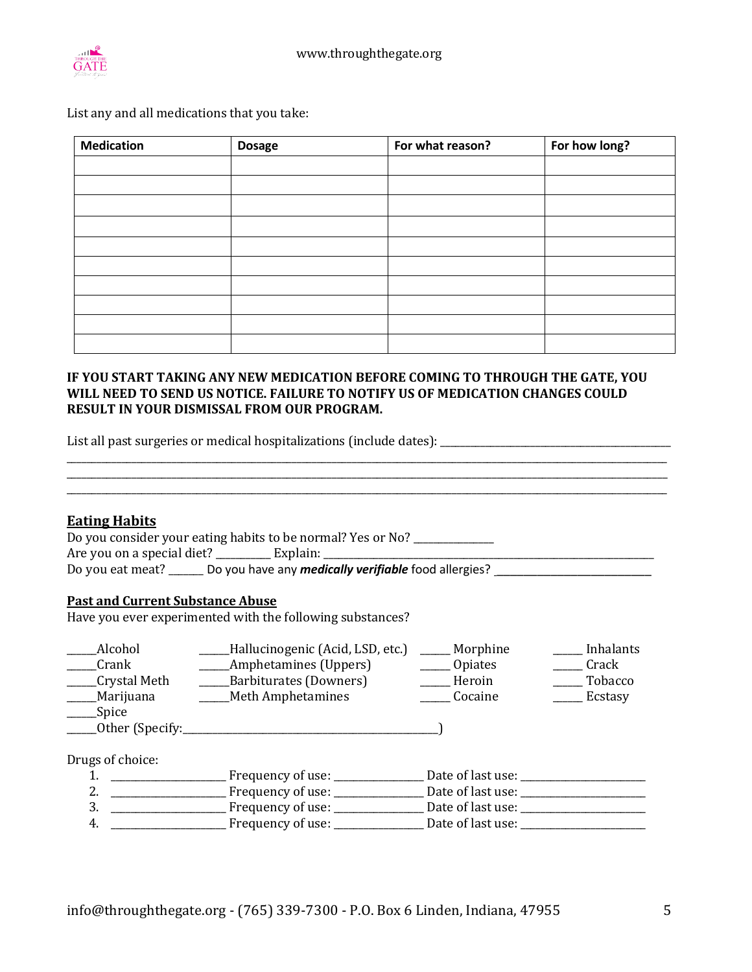

List any and all medications that you take:

| <b>Medication</b> | <b>Dosage</b> | For what reason? | For how long? |
|-------------------|---------------|------------------|---------------|
|                   |               |                  |               |
|                   |               |                  |               |
|                   |               |                  |               |
|                   |               |                  |               |
|                   |               |                  |               |
|                   |               |                  |               |
|                   |               |                  |               |
|                   |               |                  |               |
|                   |               |                  |               |
|                   |               |                  |               |

#### IF YOU START TAKING ANY NEW MEDICATION BEFORE COMING TO THROUGH THE GATE, YOU WILL NEED TO SEND US NOTICE. FAILURE TO NOTIFY US OF MEDICATION CHANGES COULD **RESULT IN YOUR DISMISSAL FROM OUR PROGRAM.**

\_\_\_\_\_\_\_\_\_\_\_\_\_\_\_\_\_\_\_\_\_\_\_\_\_\_\_\_\_\_\_\_\_\_\_\_\_\_\_\_\_\_\_\_\_\_\_\_\_\_\_\_\_\_\_\_\_\_\_\_\_\_\_\_\_\_\_\_\_\_\_\_\_\_\_\_\_\_\_\_\_\_\_\_\_\_\_\_\_\_\_\_\_\_\_\_\_\_\_\_\_\_\_\_\_\_\_\_\_\_\_\_\_\_\_\_\_\_\_\_ \_\_\_\_\_\_\_\_\_\_\_\_\_\_\_\_\_\_\_\_\_\_\_\_\_\_\_\_\_\_\_\_\_\_\_\_\_\_\_\_\_\_\_\_\_\_\_\_\_\_\_\_\_\_\_\_\_\_\_\_\_\_\_\_\_\_\_\_\_\_\_\_\_\_\_\_\_\_\_\_\_\_\_\_\_\_\_\_\_\_\_\_\_\_\_\_\_\_\_\_\_\_\_\_\_\_\_\_\_\_\_\_\_\_\_\_\_\_\_\_

\_\_\_\_\_\_\_\_\_\_\_\_\_\_\_\_\_\_\_\_\_\_\_\_\_\_\_\_\_\_\_\_\_\_\_\_\_\_\_\_\_\_\_\_\_\_\_\_\_\_\_\_\_\_\_\_\_\_\_\_\_\_\_\_\_\_\_\_\_\_\_\_\_\_\_\_\_\_\_\_\_\_\_\_\_\_\_\_\_\_\_\_\_\_\_\_\_\_\_\_\_\_\_\_\_\_\_\_\_\_\_\_\_\_\_\_\_\_\_\_

List all past surgeries or medical hospitalizations (include dates): \_\_\_\_\_\_\_\_\_\_\_\_\_\_\_\_\_\_\_\_\_\_\_\_\_\_\_\_\_\_\_\_\_\_\_\_\_\_\_\_\_\_\_\_\_\_

#### **Eating Habits**

| <b>HULLIS HUDILD</b>                                                            |
|---------------------------------------------------------------------------------|
| Do you consider your eating habits to be normal? Yes or No?                     |
| Are you on a special diet? ________________ Explain:                            |
| Do you have any <i>medically verifiable</i> food allergies?<br>Do you eat meat? |

#### **Past and Current Substance Abuse**

Have you ever experimented with the following substances?

| Alcohol           | Hallucinogenic (Acid, LSD, etc.) | Morphine          | Inhalants |
|-------------------|----------------------------------|-------------------|-----------|
| Crank             | _Amphetamines (Uppers)           | Opiates           | Crack     |
| Crystal Meth      | Barbiturates (Downers)           | Heroin            | Tobacco   |
| Marijuana         | _Meth Amphetamines               | Cocaine           | Ecstasy   |
| Spice             |                                  |                   |           |
| _Other (Specify:_ |                                  |                   |           |
| Drugs of choice:  |                                  |                   |           |
|                   | Frequency of use: ____           | Date of last use: |           |
|                   | Frequency of use: ______         | Date of last use: |           |
| 3.                | Frequency of use: ___            | Date of last use: |           |

4. \_\_\_\_\_\_\_\_\_\_\_\_\_\_\_\_\_\_\_\_\_\_\_ Frequency of use: \_\_\_\_\_\_\_\_\_\_\_\_\_\_\_\_\_\_ Date of last use: \_\_\_\_\_\_\_\_\_\_\_\_\_\_\_\_\_\_\_\_\_\_\_\_\_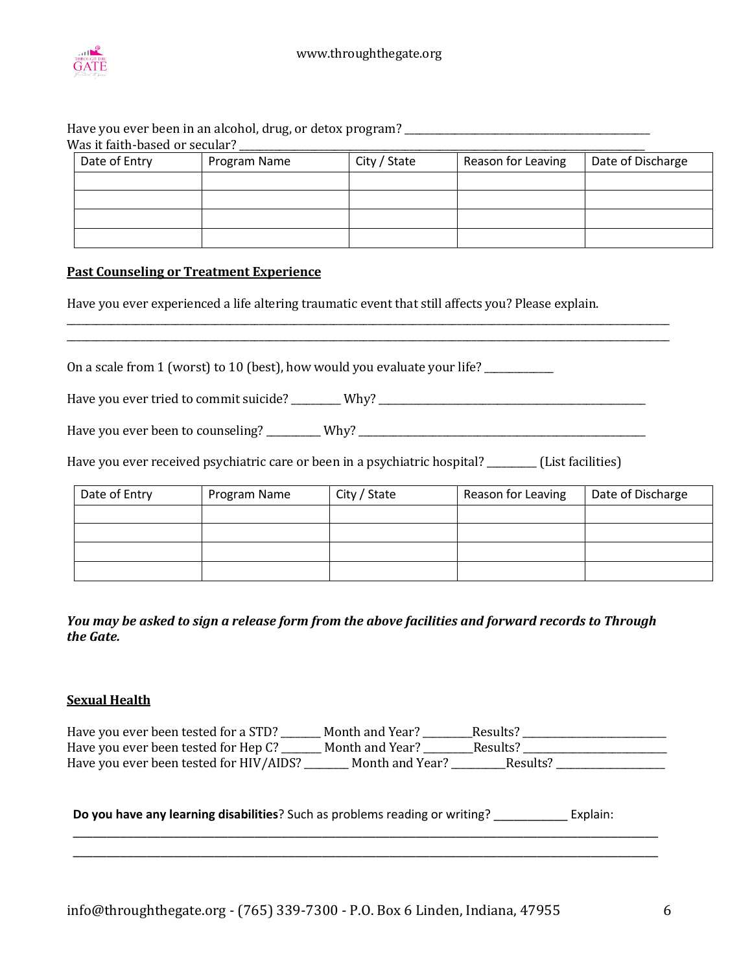

#### Have you ever been in an alcohol, drug, or detox program?  $W_{2s}$  it faith-based or secular?

| Date of Entry | Program Name | City / State | Reason for Leaving | Date of Discharge |
|---------------|--------------|--------------|--------------------|-------------------|
|               |              |              |                    |                   |
|               |              |              |                    |                   |
|               |              |              |                    |                   |
|               |              |              |                    |                   |
|               |              |              |                    |                   |
|               |              |              |                    |                   |

#### **Past Counseling or Treatment Experience**

Have you ever experienced a life altering traumatic event that still affects you? Please explain.

 $\overline{a_1}$  ,  $\overline{a_2}$  ,  $\overline{a_3}$  ,  $\overline{a_4}$  ,  $\overline{a_5}$  ,  $\overline{a_6}$  ,  $\overline{a_7}$  ,  $\overline{a_8}$  ,  $\overline{a_9}$  ,  $\overline{a_9}$  ,  $\overline{a_9}$  ,  $\overline{a_9}$  ,  $\overline{a_9}$  ,  $\overline{a_9}$  ,  $\overline{a_9}$  ,  $\overline{a_9}$  ,  $\overline{a_9}$  ,  $\overline{a_1}$  ,  $\overline{a_2}$  ,  $\overline{a_3}$  ,  $\overline{a_4}$  ,  $\overline{a_5}$  ,  $\overline{a_6}$  ,  $\overline{a_7}$  ,  $\overline{a_8}$  ,  $\overline{a_9}$  ,  $\overline{a_9}$  ,  $\overline{a_9}$  ,  $\overline{a_9}$  ,  $\overline{a_9}$  ,  $\overline{a_9}$  ,  $\overline{a_9}$  ,  $\overline{a_9}$  ,  $\overline{a_9}$  ,

On a scale from 1 (worst) to 10 (best), how would you evaluate your life? \_\_\_\_\_\_\_

Have you ever tried to commit suicide? \_\_\_\_\_\_\_\_ Why? \_\_\_\_\_\_\_\_\_\_\_\_\_\_\_\_\_\_\_\_\_\_\_\_\_\_\_

Have you ever been to counseling? \_\_\_\_\_\_\_\_\_\_\_ Why? \_\_\_\_\_\_\_\_\_\_\_\_\_\_\_\_\_\_\_\_\_\_\_\_\_\_\_\_\_\_\_\_\_\_\_\_\_\_\_\_\_\_\_\_\_\_\_\_\_\_\_\_\_\_\_\_\_\_

Have you ever received psychiatric care or been in a psychiatric hospital? \_\_\_\_\_\_\_\_ (List facilities)

| Date of Entry | Program Name | City / State | Reason for Leaving | Date of Discharge |
|---------------|--------------|--------------|--------------------|-------------------|
|               |              |              |                    |                   |
|               |              |              |                    |                   |
|               |              |              |                    |                   |
|               |              |              |                    |                   |

You may be asked to sign a release form from the above facilities and forward records to Through *the Gate.*

#### **Sexual Health**

| Have you ever been tested for a STD?    | Month and Year? | Results? |  |
|-----------------------------------------|-----------------|----------|--|
| Have you ever been tested for Hep C? _  | Month and Year? | Results? |  |
| Have you ever been tested for HIV/AIDS? | Month and Year? | Results? |  |

\_\_\_\_\_\_\_\_\_\_\_\_\_\_\_\_\_\_\_\_\_\_\_\_\_\_\_\_\_\_\_\_\_\_\_\_\_\_\_\_\_\_\_\_\_\_\_\_\_\_\_\_\_\_\_\_\_\_\_\_\_\_\_\_\_\_\_\_\_\_\_\_\_\_\_\_\_\_\_\_\_\_\_\_\_\_\_ \_\_\_\_\_\_\_\_\_\_\_\_\_\_\_\_\_\_\_\_\_\_\_\_\_\_\_\_\_\_\_\_\_\_\_\_\_\_\_\_\_\_\_\_\_\_\_\_\_\_\_\_\_\_\_\_\_\_\_\_\_\_\_\_\_\_\_\_\_\_\_\_\_\_\_\_\_\_\_\_\_\_\_\_\_\_\_

**Do you have any learning disabilities**? Such as problems reading or writing? \_\_\_\_\_\_\_\_\_\_\_ Explain: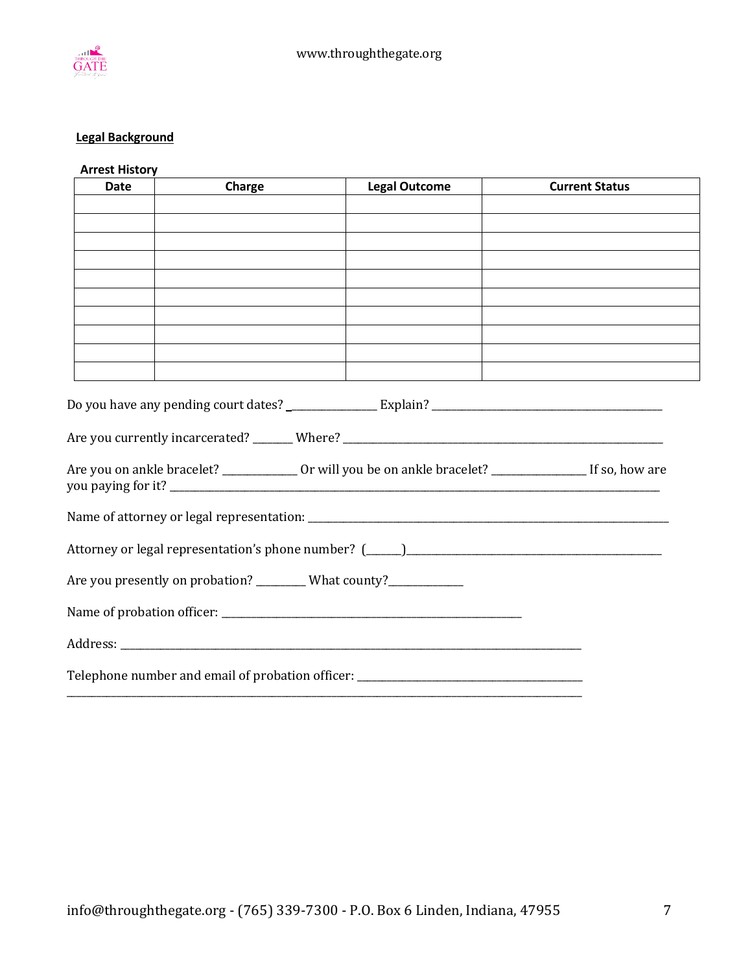

### **Legal Background**

# **Arrest History**

| <b>Date</b> | Charge                                                                                                               | <b>Legal Outcome</b>                                                                                             | <b>Current Status</b> |
|-------------|----------------------------------------------------------------------------------------------------------------------|------------------------------------------------------------------------------------------------------------------|-----------------------|
|             |                                                                                                                      |                                                                                                                  |                       |
|             |                                                                                                                      |                                                                                                                  |                       |
|             |                                                                                                                      |                                                                                                                  |                       |
|             |                                                                                                                      |                                                                                                                  |                       |
|             |                                                                                                                      |                                                                                                                  |                       |
|             |                                                                                                                      |                                                                                                                  |                       |
|             |                                                                                                                      |                                                                                                                  |                       |
|             | <u> 1990 - Jan James James James James James James James James James James James James James James James James J</u> |                                                                                                                  |                       |
|             |                                                                                                                      |                                                                                                                  |                       |
|             |                                                                                                                      | Are you currently incarcerated? _______ Where? __________________________________                                |                       |
|             |                                                                                                                      | Are you on ankle bracelet? _______________ Or will you be on ankle bracelet? _____________________If so, how are |                       |
|             |                                                                                                                      |                                                                                                                  |                       |
|             |                                                                                                                      |                                                                                                                  |                       |
|             | Are you presently on probation? _________ What county?____________                                                   |                                                                                                                  |                       |
|             |                                                                                                                      |                                                                                                                  |                       |
|             |                                                                                                                      |                                                                                                                  |                       |
|             |                                                                                                                      | Telephone number and email of probation officer: _______________________________                                 |                       |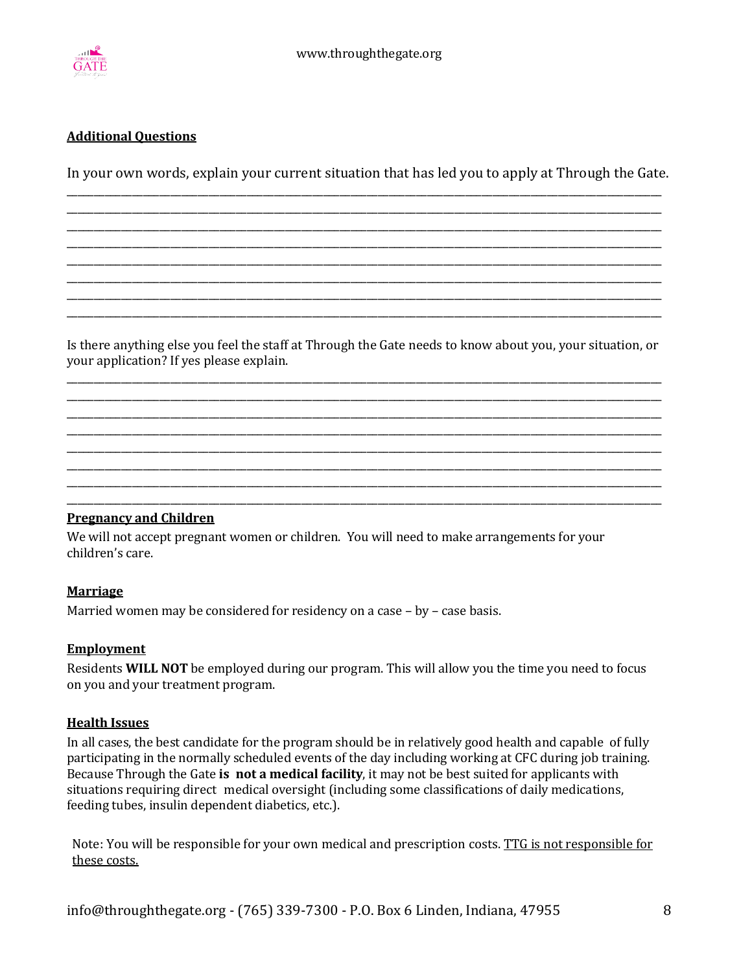

#### **Additional Questions**

In your own words, explain your current situation that has led you to apply at Through the Gate. \_\_\_\_\_\_\_\_\_\_\_\_\_\_\_\_\_\_\_\_\_\_\_\_\_\_\_\_\_\_\_\_\_\_\_\_\_\_\_\_\_\_\_\_\_\_\_\_\_\_\_\_\_\_\_\_\_\_\_\_\_\_\_\_\_\_\_\_\_\_\_\_\_\_\_\_\_\_\_\_\_\_\_\_\_\_\_\_\_\_\_\_\_\_\_\_\_\_\_\_\_\_\_\_\_\_\_\_\_

\_\_\_\_\_\_\_\_\_\_\_\_\_\_\_\_\_\_\_\_\_\_\_\_\_\_\_\_\_\_\_\_\_\_\_\_\_\_\_\_\_\_\_\_\_\_\_\_\_\_\_\_\_\_\_\_\_\_\_\_\_\_\_\_\_\_\_\_\_\_\_\_\_\_\_\_\_\_\_\_\_\_\_\_\_\_\_\_\_\_\_\_\_\_\_\_\_\_\_\_\_\_\_\_\_\_\_\_\_ \_\_\_\_\_\_\_\_\_\_\_\_\_\_\_\_\_\_\_\_\_\_\_\_\_\_\_\_\_\_\_\_\_\_\_\_\_\_\_\_\_\_\_\_\_\_\_\_\_\_\_\_\_\_\_\_\_\_\_\_\_\_\_\_\_\_\_\_\_\_\_\_\_\_\_\_\_\_\_\_\_\_\_\_\_\_\_\_\_\_\_\_\_\_\_\_\_\_\_\_\_\_\_\_\_\_\_\_\_ \_\_\_\_\_\_\_\_\_\_\_\_\_\_\_\_\_\_\_\_\_\_\_\_\_\_\_\_\_\_\_\_\_\_\_\_\_\_\_\_\_\_\_\_\_\_\_\_\_\_\_\_\_\_\_\_\_\_\_\_\_\_\_\_\_\_\_\_\_\_\_\_\_\_\_\_\_\_\_\_\_\_\_\_\_\_\_\_\_\_\_\_\_\_\_\_\_\_\_\_\_\_\_\_\_\_\_\_\_ \_\_\_\_\_\_\_\_\_\_\_\_\_\_\_\_\_\_\_\_\_\_\_\_\_\_\_\_\_\_\_\_\_\_\_\_\_\_\_\_\_\_\_\_\_\_\_\_\_\_\_\_\_\_\_\_\_\_\_\_\_\_\_\_\_\_\_\_\_\_\_\_\_\_\_\_\_\_\_\_\_\_\_\_\_\_\_\_\_\_\_\_\_\_\_\_\_\_\_\_\_\_\_\_\_\_\_\_\_ \_\_\_\_\_\_\_\_\_\_\_\_\_\_\_\_\_\_\_\_\_\_\_\_\_\_\_\_\_\_\_\_\_\_\_\_\_\_\_\_\_\_\_\_\_\_\_\_\_\_\_\_\_\_\_\_\_\_\_\_\_\_\_\_\_\_\_\_\_\_\_\_\_\_\_\_\_\_\_\_\_\_\_\_\_\_\_\_\_\_\_\_\_\_\_\_\_\_\_\_\_\_\_\_\_\_\_\_\_ \_\_\_\_\_\_\_\_\_\_\_\_\_\_\_\_\_\_\_\_\_\_\_\_\_\_\_\_\_\_\_\_\_\_\_\_\_\_\_\_\_\_\_\_\_\_\_\_\_\_\_\_\_\_\_\_\_\_\_\_\_\_\_\_\_\_\_\_\_\_\_\_\_\_\_\_\_\_\_\_\_\_\_\_\_\_\_\_\_\_\_\_\_\_\_\_\_\_\_\_\_\_\_\_\_\_\_\_\_ \_\_\_\_\_\_\_\_\_\_\_\_\_\_\_\_\_\_\_\_\_\_\_\_\_\_\_\_\_\_\_\_\_\_\_\_\_\_\_\_\_\_\_\_\_\_\_\_\_\_\_\_\_\_\_\_\_\_\_\_\_\_\_\_\_\_\_\_\_\_\_\_\_\_\_\_\_\_\_\_\_\_\_\_\_\_\_\_\_\_\_\_\_\_\_\_\_\_\_\_\_\_\_\_\_\_\_\_\_

Is there anything else you feel the staff at Through the Gate needs to know about you, your situation, or your application? If yes please explain.

\_\_\_\_\_\_\_\_\_\_\_\_\_\_\_\_\_\_\_\_\_\_\_\_\_\_\_\_\_\_\_\_\_\_\_\_\_\_\_\_\_\_\_\_\_\_\_\_\_\_\_\_\_\_\_\_\_\_\_\_\_\_\_\_\_\_\_\_\_\_\_\_\_\_\_\_\_\_\_\_\_\_\_\_\_\_\_\_\_\_\_\_\_\_\_\_\_\_\_\_\_\_\_\_\_\_\_\_\_ \_\_\_\_\_\_\_\_\_\_\_\_\_\_\_\_\_\_\_\_\_\_\_\_\_\_\_\_\_\_\_\_\_\_\_\_\_\_\_\_\_\_\_\_\_\_\_\_\_\_\_\_\_\_\_\_\_\_\_\_\_\_\_\_\_\_\_\_\_\_\_\_\_\_\_\_\_\_\_\_\_\_\_\_\_\_\_\_\_\_\_\_\_\_\_\_\_\_\_\_\_\_\_\_\_\_\_\_\_ \_\_\_\_\_\_\_\_\_\_\_\_\_\_\_\_\_\_\_\_\_\_\_\_\_\_\_\_\_\_\_\_\_\_\_\_\_\_\_\_\_\_\_\_\_\_\_\_\_\_\_\_\_\_\_\_\_\_\_\_\_\_\_\_\_\_\_\_\_\_\_\_\_\_\_\_\_\_\_\_\_\_\_\_\_\_\_\_\_\_\_\_\_\_\_\_\_\_\_\_\_\_\_\_\_\_\_\_\_ \_\_\_\_\_\_\_\_\_\_\_\_\_\_\_\_\_\_\_\_\_\_\_\_\_\_\_\_\_\_\_\_\_\_\_\_\_\_\_\_\_\_\_\_\_\_\_\_\_\_\_\_\_\_\_\_\_\_\_\_\_\_\_\_\_\_\_\_\_\_\_\_\_\_\_\_\_\_\_\_\_\_\_\_\_\_\_\_\_\_\_\_\_\_\_\_\_\_\_\_\_\_\_\_\_\_\_\_\_ \_\_\_\_\_\_\_\_\_\_\_\_\_\_\_\_\_\_\_\_\_\_\_\_\_\_\_\_\_\_\_\_\_\_\_\_\_\_\_\_\_\_\_\_\_\_\_\_\_\_\_\_\_\_\_\_\_\_\_\_\_\_\_\_\_\_\_\_\_\_\_\_\_\_\_\_\_\_\_\_\_\_\_\_\_\_\_\_\_\_\_\_\_\_\_\_\_\_\_\_\_\_\_\_\_\_\_\_\_ \_\_\_\_\_\_\_\_\_\_\_\_\_\_\_\_\_\_\_\_\_\_\_\_\_\_\_\_\_\_\_\_\_\_\_\_\_\_\_\_\_\_\_\_\_\_\_\_\_\_\_\_\_\_\_\_\_\_\_\_\_\_\_\_\_\_\_\_\_\_\_\_\_\_\_\_\_\_\_\_\_\_\_\_\_\_\_\_\_\_\_\_\_\_\_\_\_\_\_\_\_\_\_\_\_\_\_\_\_ \_\_\_\_\_\_\_\_\_\_\_\_\_\_\_\_\_\_\_\_\_\_\_\_\_\_\_\_\_\_\_\_\_\_\_\_\_\_\_\_\_\_\_\_\_\_\_\_\_\_\_\_\_\_\_\_\_\_\_\_\_\_\_\_\_\_\_\_\_\_\_\_\_\_\_\_\_\_\_\_\_\_\_\_\_\_\_\_\_\_\_\_\_\_\_\_\_\_\_\_\_\_\_\_\_\_\_\_\_ \_\_\_\_\_\_\_\_\_\_\_\_\_\_\_\_\_\_\_\_\_\_\_\_\_\_\_\_\_\_\_\_\_\_\_\_\_\_\_\_\_\_\_\_\_\_\_\_\_\_\_\_\_\_\_\_\_\_\_\_\_\_\_\_\_\_\_\_\_\_\_\_\_\_\_\_\_\_\_\_\_\_\_\_\_\_\_\_\_\_\_\_\_\_\_\_\_\_\_\_\_\_\_\_\_\_\_\_\_

#### **Pregnancy and Children**

We will not accept pregnant women or children. You will need to make arrangements for your children's care.

#### **Marriage**

Married women may be considered for residency on a case  $-$  by  $-$  case basis.

#### **Employment**

Residents **WILL NOT** be employed during our program. This will allow you the time you need to focus on you and your treatment program.

#### **Health Issues**

In all cases, the best candidate for the program should be in relatively good health and capable of fully participating in the normally scheduled events of the day including working at CFC during job training. Because Through the Gate **is not a medical facility**, it may not be best suited for applicants with situations requiring direct medical oversight (including some classifications of daily medications, feeding tubes, insulin dependent diabetics, etc.).

Note: You will be responsible for your own medical and prescription costs. TTG is not responsible for these costs.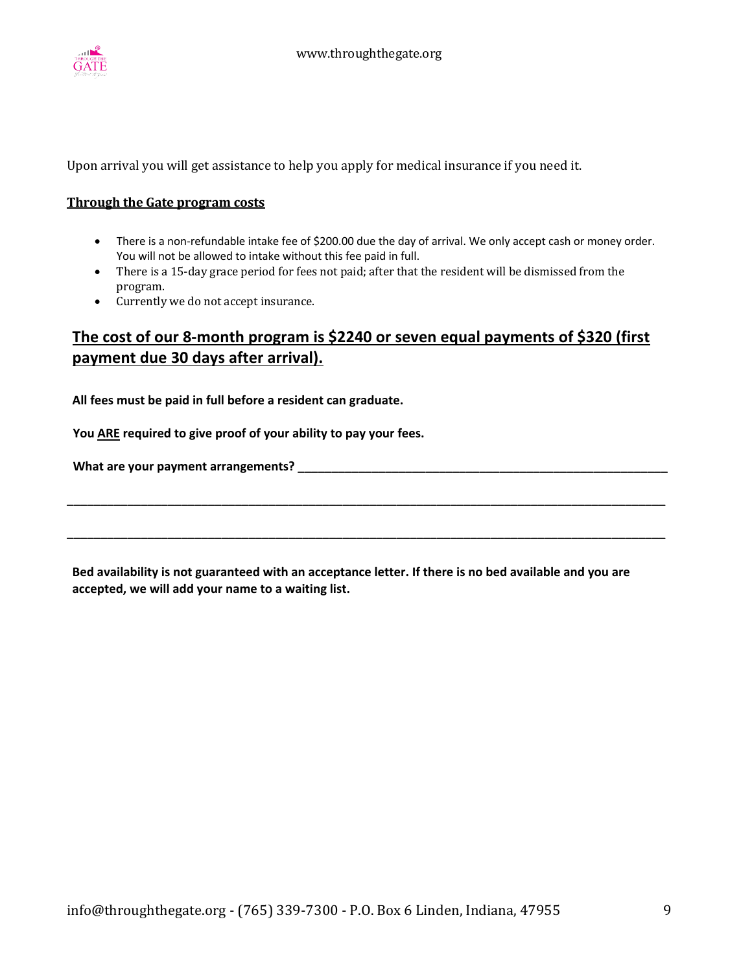

Upon arrival you will get assistance to help you apply for medical insurance if you need it.

#### **Through the Gate program costs**

- There is a non-refundable intake fee of \$200.00 due the day of arrival. We only accept cash or money order. You will not be allowed to intake without this fee paid in full.
- There is a 15-day grace period for fees not paid; after that the resident will be dismissed from the program.
- Currently we do not accept insurance.

## **The cost of our 8-month program is \$2240 or seven equal payments of \$320 (first payment due 30 days after arrival).**

**All fees must be paid in full before a resident can graduate.**

 **You ARE required to give proof of your ability to pay your fees.**

 **What are your payment arrangements? \_\_\_\_\_\_\_\_\_\_\_\_\_\_\_\_\_\_\_\_\_\_\_\_\_\_\_\_\_\_\_\_\_\_\_\_\_\_\_\_\_\_\_\_\_\_\_\_\_\_\_\_\_\_\_**

**Bed availability is not guaranteed with an acceptance letter. If there is no bed available and you are accepted, we will add your name to a waiting list.** 

**\_\_\_\_\_\_\_\_\_\_\_\_\_\_\_\_\_\_\_\_\_\_\_\_\_\_\_\_\_\_\_\_\_\_\_\_\_\_\_\_\_\_\_\_\_\_\_\_\_\_\_\_\_\_\_\_\_\_\_\_\_\_\_\_\_\_\_\_\_\_\_\_\_\_\_\_\_\_\_\_\_\_\_\_\_\_\_\_\_**

**\_\_\_\_\_\_\_\_\_\_\_\_\_\_\_\_\_\_\_\_\_\_\_\_\_\_\_\_\_\_\_\_\_\_\_\_\_\_\_\_\_\_\_\_\_\_\_\_\_\_\_\_\_\_\_\_\_\_\_\_\_\_\_\_\_\_\_\_\_\_\_\_\_\_\_\_\_\_\_\_\_\_\_\_\_\_\_\_\_**